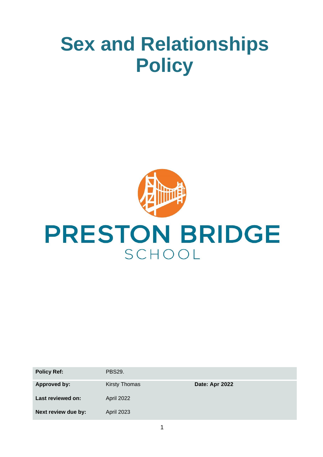# **Sex and Relationships Policy**



| <b>Policy Ref:</b>  | <b>PBS29.</b>        |                |
|---------------------|----------------------|----------------|
| <b>Approved by:</b> | <b>Kirsty Thomas</b> | Date: Apr 2022 |
| Last reviewed on:   | April 2022           |                |
| Next review due by: | April 2023           |                |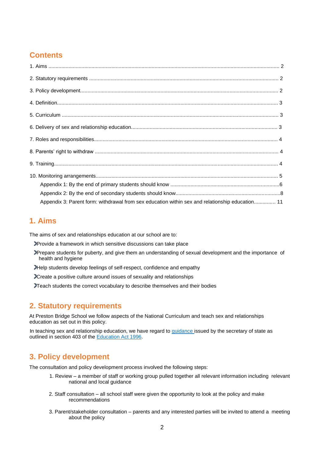# **Contents**

| Appendix 3: Parent form: withdrawal from sex education within sex and relationship education 11 |  |
|-------------------------------------------------------------------------------------------------|--|

## **1. Aims**

The aims of sex and relationships education at our school are to:

Provide a framework in which sensitive discussions can take place

- Prepare students for puberty, and give them an understanding of sexual development and the importance of health and hygiene
- Help students develop feelings of self-respect, confidence and empathy
- Create a positive culture around issues of sexuality and relationships
- Teach students the correct vocabulary to describe themselves and their bodies

# **2. Statutory requirements**

At Preston Bridge School we follow aspects of the National Curriculum and teach sex and relationships education as set out in this policy.

In teaching sex and relationship education, we have regard to guidance issued by the secretary of state as outlined in section 403 of the Education Act 1996.

## **3. Policy development**

The consultation and policy development process involved the following steps:

- 1. Review a member of staff or working group pulled together all relevant information including relevant national and local guidance
- 2. Staff consultation all school staff were given the opportunity to look at the policy and make recommendations
- 3. Parent/stakeholder consultation parents and any interested parties will be invited to attend a meeting about the policy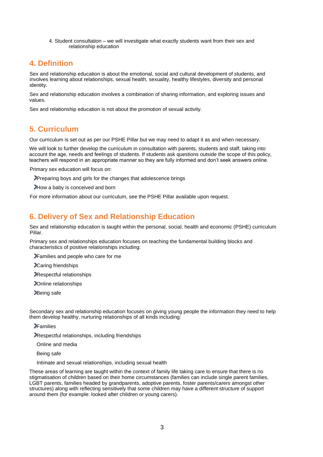4. Student consultation – we will investigate what exactly students want from their sex and relationship education

## **4. Definition**

Sex and relationship education is about the emotional, social and cultural development of students, and involves learning about relationships, sexual health, sexuality, healthy lifestyles, diversity and personal identity.

Sex and relationship education involves a combination of sharing information, and exploring issues and values.

Sex and relationship education is not about the promotion of sexual activity.

# **5. Curriculum**

Our curriculum is set out as per our PSHE Pillar but we may need to adapt it as and when necessary.

We will look to further develop the curriculum in consultation with parents, students and staff, taking into account the age, needs and feelings of students. If students ask questions outside the scope of this policy, teachers will respond in an appropriate manner so they are fully informed and don't seek answers online.

Primary sex education will focus on:

Preparing boys and girls for the changes that adolescence brings

How a baby is conceived and born

For more information about our curriculum, see the PSHE Pillar available upon request.

# **6. Delivery of Sex and Relationship Education**

Sex and relationship education is taught within the personal, social, health and economic (PSHE) curriculum Pillar.

Primary sex and relationships education focuses on teaching the fundamental building blocks and characteristics of positive relationships including:

Families and people who care for me

Caring friendships

Respectful relationships

Online relationships

Being safe

Secondary sex and relationship education focuses on giving young people the information they need to help them develop healthy, nurturing relationships of all kinds including:

**P**Families

Respectful relationships, including friendships

Online and media

Being safe

Intimate and sexual relationships, including sexual health

These areas of learning are taught within the context of family life taking care to ensure that there is no stigmatisation of children based on their home circumstances (families can include single parent families, LGBT parents, families headed by grandparents, adoptive parents, foster parents/carers amongst other structures) along with reflecting sensitively that some children may have a different structure of support around them (for example: looked after children or young carers).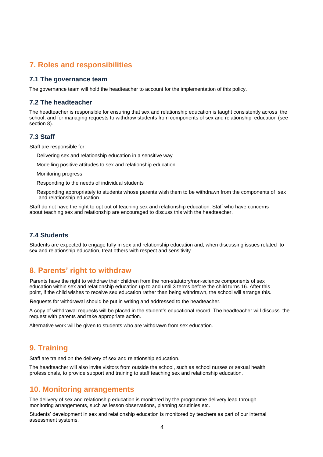## **7. Roles and responsibilities**

#### **7.1 The governance team**

The governance team will hold the headteacher to account for the implementation of this policy.

#### **7.2 The headteacher**

The headteacher is responsible for ensuring that sex and relationship education is taught consistently across the school, and for managing requests to withdraw students from components of sex and relationship education (see section 8).

#### **7.3 Staff**

Staff are responsible for:

Delivering sex and relationship education in a sensitive way

Modelling positive attitudes to sex and relationship education

Monitoring progress

Responding to the needs of individual students

Responding appropriately to students whose parents wish them to be withdrawn from the components of sex and relationship education.

Staff do not have the right to opt out of teaching sex and relationship education. Staff who have concerns about teaching sex and relationship are encouraged to discuss this with the headteacher.

#### **7.4 Students**

Students are expected to engage fully in sex and relationship education and, when discussing issues related to sex and relationship education, treat others with respect and sensitivity.

## **8. Parents' right to withdraw**

Parents have the right to withdraw their children from the non-statutory/non-science components of sex education within sex and relationship education up to and until 3 terms before the child turns 16. After this point, if the child wishes to receive sex education rather than being withdrawn, the school will arrange this.

Requests for withdrawal should be put in writing and addressed to the headteacher.

A copy of withdrawal requests will be placed in the student's educational record. The headteacher will discuss the request with parents and take appropriate action.

Alternative work will be given to students who are withdrawn from sex education.

## **9. Training**

Staff are trained on the delivery of sex and relationship education.

The headteacher will also invite visitors from outside the school, such as school nurses or sexual health professionals, to provide support and training to staff teaching sex and relationship education.

### **10. Monitoring arrangements**

The delivery of sex and relationship education is monitored by the programme delivery lead through monitoring arrangements, such as lesson observations, planning scrutinies etc.

Students' development in sex and relationship education is monitored by teachers as part of our internal assessment systems.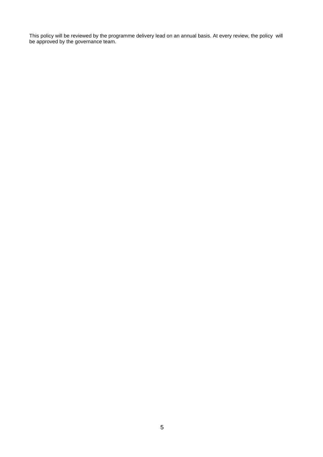This policy will be reviewed by the programme delivery lead on an annual basis. At every review, the policy will be approved by the governance team.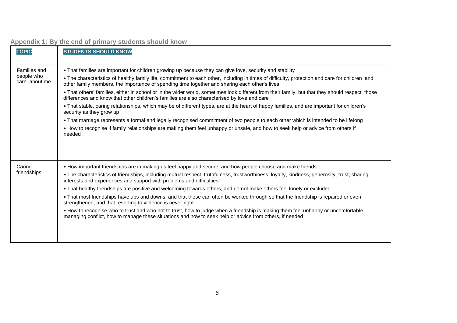| <b>TOPIC</b>                                | <b>STUDENTS SHOULD KNOW</b>                                                                                                                                                                                                                                                                                                                                                                                                                                                                                                                                                                                                                                                                                                                                                                                                                                                                                                                                                                                                                                                 |
|---------------------------------------------|-----------------------------------------------------------------------------------------------------------------------------------------------------------------------------------------------------------------------------------------------------------------------------------------------------------------------------------------------------------------------------------------------------------------------------------------------------------------------------------------------------------------------------------------------------------------------------------------------------------------------------------------------------------------------------------------------------------------------------------------------------------------------------------------------------------------------------------------------------------------------------------------------------------------------------------------------------------------------------------------------------------------------------------------------------------------------------|
| Families and<br>people who<br>care about me | • That families are important for children growing up because they can give love, security and stability<br>• The characteristics of healthy family life, commitment to each other, including in times of difficulty, protection and care for children and<br>other family members, the importance of spending time together and sharing each other's lives<br>. That others' families, either in school or in the wider world, sometimes look different from their family, but that they should respect those<br>differences and know that other children's families are also characterised by love and care<br>• That stable, caring relationships, which may be of different types, are at the heart of happy families, and are important for children's<br>security as they grow up<br>• That marriage represents a formal and legally recognised commitment of two people to each other which is intended to be lifelong<br>• How to recognise if family relationships are making them feel unhappy or unsafe, and how to seek help or advice from others if<br>needed |
| Caring<br>friendships                       | • How important friendships are in making us feel happy and secure, and how people choose and make friends<br>• The characteristics of friendships, including mutual respect, truthfulness, trustworthiness, loyalty, kindness, generosity, trust, sharing<br>interests and experiences and support with problems and difficulties<br>• That healthy friendships are positive and welcoming towards others, and do not make others feel lonely or excluded<br>• That most friendships have ups and downs, and that these can often be worked through so that the friendship is repaired or even<br>strengthened, and that resorting to violence is never right<br>• How to recognise who to trust and who not to trust, how to judge when a friendship is making them feel unhappy or uncomfortable,<br>managing conflict, how to manage these situations and how to seek help or advice from others, if needed                                                                                                                                                             |

# **Appendix 1: By the end of primary students should know**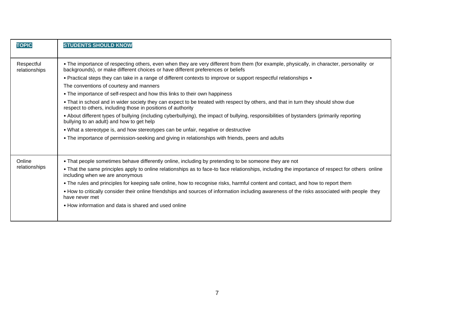| <b>TOPIC</b>                | <b>STUDENTS SHOULD KNOW</b>                                                                                                                                                                                                   |
|-----------------------------|-------------------------------------------------------------------------------------------------------------------------------------------------------------------------------------------------------------------------------|
| Respectful<br>relationships | . The importance of respecting others, even when they are very different from them (for example, physically, in character, personality or<br>backgrounds), or make different choices or have different preferences or beliefs |
|                             | • Practical steps they can take in a range of different contexts to improve or support respectful relationships •                                                                                                             |
|                             | The conventions of courtesy and manners                                                                                                                                                                                       |
|                             | • The importance of self-respect and how this links to their own happiness                                                                                                                                                    |
|                             | • That in school and in wider society they can expect to be treated with respect by others, and that in turn they should show due<br>respect to others, including those in positions of authority                             |
|                             | • About different types of bullying (including cyberbullying), the impact of bullying, responsibilities of bystanders (primarily reporting<br>bullying to an adult) and how to get help                                       |
|                             | • What a stereotype is, and how stereotypes can be unfair, negative or destructive                                                                                                                                            |
|                             | • The importance of permission-seeking and giving in relationships with friends, peers and adults                                                                                                                             |
|                             |                                                                                                                                                                                                                               |
| Online                      | • That people sometimes behave differently online, including by pretending to be someone they are not                                                                                                                         |
| relationships               | • That the same principles apply to online relationships as to face-to face relationships, including the importance of respect for others online<br>including when we are anonymous                                           |
|                             | • The rules and principles for keeping safe online, how to recognise risks, harmful content and contact, and how to report them                                                                                               |
|                             | • How to critically consider their online friendships and sources of information including awareness of the risks associated with people they<br>have never met                                                               |
|                             | • How information and data is shared and used online                                                                                                                                                                          |
|                             |                                                                                                                                                                                                                               |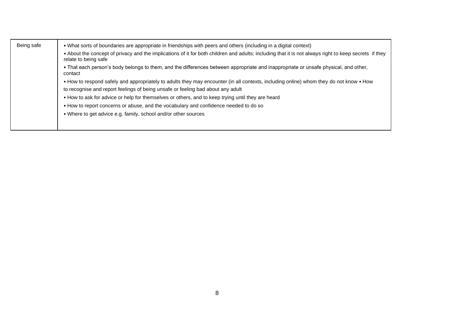| Being safe | • What sorts of boundaries are appropriate in friendships with peers and others (including in a digital context)<br>. About the concept of privacy and the implications of it for both children and adults; including that it is not always right to keep secrets if they<br>relate to being safe |
|------------|---------------------------------------------------------------------------------------------------------------------------------------------------------------------------------------------------------------------------------------------------------------------------------------------------|
|            | • That each person's body belongs to them, and the differences between appropriate and inappropriate or unsafe physical, and other,<br>contact                                                                                                                                                    |
|            | • How to respond safely and appropriately to adults they may encounter (in all contexts, including online) whom they do not know • How                                                                                                                                                            |
|            | to recognise and report feelings of being unsafe or feeling bad about any adult                                                                                                                                                                                                                   |
|            | • How to ask for advice or help for themselves or others, and to keep trying until they are heard                                                                                                                                                                                                 |
|            | . How to report concerns or abuse, and the vocabulary and confidence needed to do so                                                                                                                                                                                                              |
|            | • Where to get advice e.g. family, school and/or other sources                                                                                                                                                                                                                                    |
|            |                                                                                                                                                                                                                                                                                                   |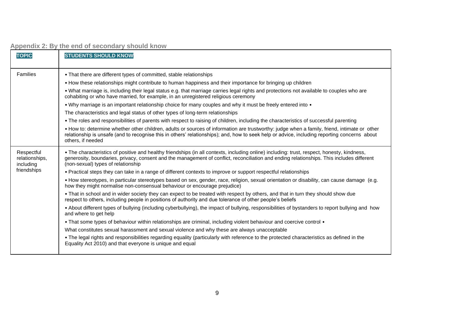| <b>TOPIC</b>                              | <b>STUDENTS SHOULD KNOW</b>                                                                                                                                                                                                                                                                                                    |
|-------------------------------------------|--------------------------------------------------------------------------------------------------------------------------------------------------------------------------------------------------------------------------------------------------------------------------------------------------------------------------------|
| Families                                  | • That there are different types of committed, stable relationships                                                                                                                                                                                                                                                            |
|                                           | • How these relationships might contribute to human happiness and their importance for bringing up children                                                                                                                                                                                                                    |
|                                           | . What marriage is, including their legal status e.g. that marriage carries legal rights and protections not available to couples who are<br>cohabiting or who have married, for example, in an unregistered religious ceremony                                                                                                |
|                                           | • Why marriage is an important relationship choice for many couples and why it must be freely entered into •                                                                                                                                                                                                                   |
|                                           | The characteristics and legal status of other types of long-term relationships                                                                                                                                                                                                                                                 |
|                                           | • The roles and responsibilities of parents with respect to raising of children, including the characteristics of successful parenting                                                                                                                                                                                         |
|                                           | • How to: determine whether other children, adults or sources of information are trustworthy: judge when a family, friend, intimate or other<br>relationship is unsafe (and to recognise this in others' relationships); and, how to seek help or advice, including reporting concerns about<br>others, if needed              |
| Respectful<br>relationships,<br>including | • The characteristics of positive and healthy friendships (in all contexts, including online) including: trust, respect, honesty, kindness,<br>generosity, boundaries, privacy, consent and the management of conflict, reconciliation and ending relationships. This includes different<br>(non-sexual) types of relationship |
| friendships                               | • Practical steps they can take in a range of different contexts to improve or support respectful relationships                                                                                                                                                                                                                |
|                                           | • How stereotypes, in particular stereotypes based on sex, gender, race, religion, sexual orientation or disability, can cause damage (e.g.<br>how they might normalise non-consensual behaviour or encourage prejudice)                                                                                                       |
|                                           | • That in school and in wider society they can expect to be treated with respect by others, and that in turn they should show due<br>respect to others, including people in positions of authority and due tolerance of other people's beliefs                                                                                 |
|                                           | • About different types of bullying (including cyberbullying), the impact of bullying, responsibilities of bystanders to report bullying and how<br>and where to get help                                                                                                                                                      |
|                                           | • That some types of behaviour within relationships are criminal, including violent behaviour and coercive control •                                                                                                                                                                                                           |
|                                           | What constitutes sexual harassment and sexual violence and why these are always unacceptable                                                                                                                                                                                                                                   |
|                                           | . The legal rights and responsibilities regarding equality (particularly with reference to the protected characteristics as defined in the<br>Equality Act 2010) and that everyone is unique and equal                                                                                                                         |

**Appendix 2: By the end of secondary should know**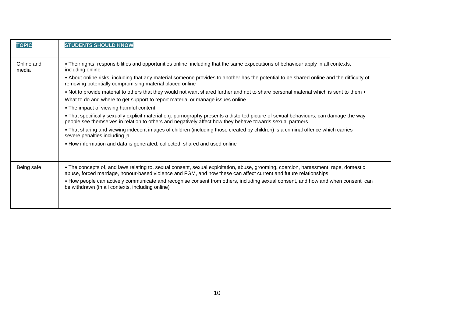| <b>TOPIC</b>        | <b>STUDENTS SHOULD KNOW</b>                                                                                                                                                                                                                             |
|---------------------|---------------------------------------------------------------------------------------------------------------------------------------------------------------------------------------------------------------------------------------------------------|
| Online and<br>media | . Their rights, responsibilities and opportunities online, including that the same expectations of behaviour apply in all contexts,<br>including online                                                                                                 |
|                     | . About online risks, including that any material someone provides to another has the potential to be shared online and the difficulty of<br>removing potentially compromising material placed online                                                   |
|                     | • Not to provide material to others that they would not want shared further and not to share personal material which is sent to them •                                                                                                                  |
|                     | What to do and where to get support to report material or manage issues online                                                                                                                                                                          |
|                     | • The impact of viewing harmful content                                                                                                                                                                                                                 |
|                     | • That specifically sexually explicit material e.g. pornography presents a distorted picture of sexual behaviours, can damage the way<br>people see themselves in relation to others and negatively affect how they behave towards sexual partners      |
|                     | • That sharing and viewing indecent images of children (including those created by children) is a criminal offence which carries<br>severe penalties including jail                                                                                     |
|                     | • How information and data is generated, collected, shared and used online                                                                                                                                                                              |
|                     |                                                                                                                                                                                                                                                         |
| Being safe          | • The concepts of, and laws relating to, sexual consent, sexual exploitation, abuse, grooming, coercion, harassment, rape, domestic<br>abuse, forced marriage, honour-based violence and FGM, and how these can affect current and future relationships |
|                     | • How people can actively communicate and recognise consent from others, including sexual consent, and how and when consent can<br>be withdrawn (in all contexts, including online)                                                                     |
|                     |                                                                                                                                                                                                                                                         |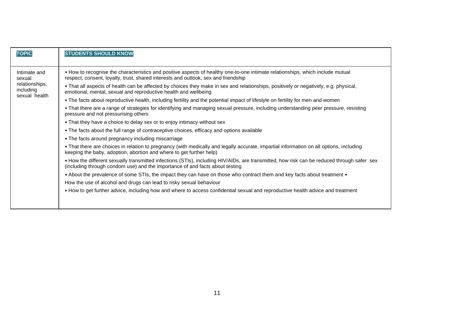| <b>TOPIC</b>                                                           | <b>STUDENTS SHOULD KNOW</b>                                                                                                                                                                                                                                                                                                                                                                                                                                                                                                                                                                                                                                                                                                                                                                                                                                                                                                                                                                                                                                                                                                                                                                                                                                                                                                                                                                                                                                                                                                                                                                                                                                                                                                                                             |
|------------------------------------------------------------------------|-------------------------------------------------------------------------------------------------------------------------------------------------------------------------------------------------------------------------------------------------------------------------------------------------------------------------------------------------------------------------------------------------------------------------------------------------------------------------------------------------------------------------------------------------------------------------------------------------------------------------------------------------------------------------------------------------------------------------------------------------------------------------------------------------------------------------------------------------------------------------------------------------------------------------------------------------------------------------------------------------------------------------------------------------------------------------------------------------------------------------------------------------------------------------------------------------------------------------------------------------------------------------------------------------------------------------------------------------------------------------------------------------------------------------------------------------------------------------------------------------------------------------------------------------------------------------------------------------------------------------------------------------------------------------------------------------------------------------------------------------------------------------|
| Intimate and<br>sexual<br>relationships,<br>including<br>sexual health | • How to recognise the characteristics and positive aspects of healthy one-to-one intimate relationships, which include mutual<br>respect, consent, loyalty, trust, shared interests and outlook, sex and friendship<br>• That all aspects of health can be affected by choices they make in sex and relationships, positively or negatively, e.g. physical,<br>emotional, mental, sexual and reproductive health and wellbeing<br>• The facts about reproductive health, including fertility and the potential impact of lifestyle on fertility for men and women<br>• That there are a range of strategies for identifying and managing sexual pressure, including understanding peer pressure, resisting<br>pressure and not pressurising others<br>• That they have a choice to delay sex or to enjoy intimacy without sex<br>• The facts about the full range of contraceptive choices, efficacy and options available<br>• The facts around pregnancy including miscarriage<br>• That there are choices in relation to pregnancy (with medically and legally accurate, impartial information on all options, including<br>keeping the baby, adoption, abortion and where to get further help)<br>• How the different sexually transmitted infections (STIs), including HIV/AIDs, are transmitted, how risk can be reduced through safer sex<br>(including through condom use) and the importance of and facts about testing<br>• About the prevalence of some STIs, the impact they can have on those who contract them and key facts about treatment •<br>How the use of alcohol and drugs can lead to risky sexual behaviour<br>• How to get further advice, including how and where to access confidential sexual and reproductive health advice and treatment |